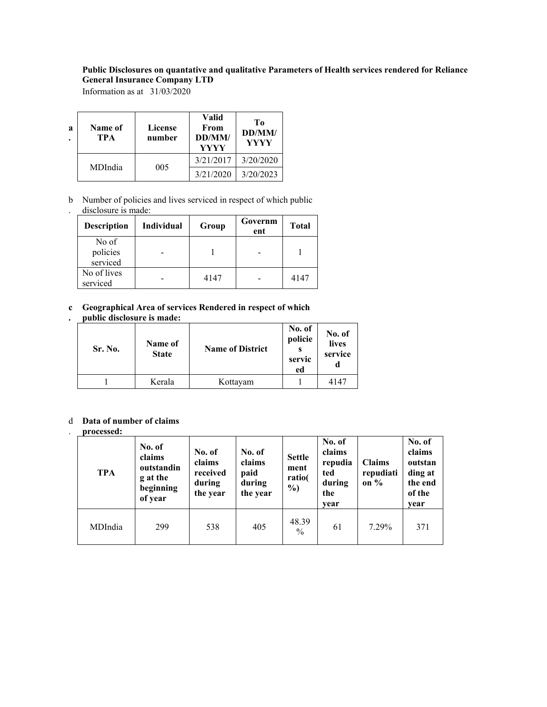# **Public Disclosures on quantative and qualitative Parameters of Health services rendered for Reliance General Insurance Company LTD**

Information as at 31/03/2020

| a<br>۰ | Name of<br>TPA | License<br>number | Valid<br>From<br>DD/MM/<br>YYYY | Tо<br>DD/MM/<br><b>YYYY</b> |
|--------|----------------|-------------------|---------------------------------|-----------------------------|
|        | MDIndia        | 005               | 3/21/2017                       | 3/20/2020                   |
|        |                |                   | 3/21/2020                       | 3/20/2023                   |

b Number of policies and lives serviced in respect of which public disclosure is made:

| <b>Description</b>            | <b>Individual</b> | Group | Governm<br>ent | <b>Total</b> |
|-------------------------------|-------------------|-------|----------------|--------------|
| No of<br>policies<br>serviced |                   |       |                |              |
| No of lives<br>serviced       |                   | 4147  |                | 4147         |

### **c Geographical Area of services Rendered in respect of which . public disclosure is made:**

| <b>Sr. No.</b> | Name of<br><b>State</b> | <b>Name of District</b> | No. of<br>policie<br>servic<br>ed | No. of<br>lives<br>service |
|----------------|-------------------------|-------------------------|-----------------------------------|----------------------------|
|                | Kerala                  | Kottayam                |                                   | 4147                       |

### d **Data of number of claims**

### **processed:**

.

| <b>TPA</b> | No. of<br>claims<br>outstandin<br>g at the<br>beginning<br>of year | No. of<br>No. of<br>claims<br>claims<br>received<br>paid<br>during<br>during<br>the year<br>the year |     | <b>Settle</b><br>ment<br>ratio(<br>$\frac{9}{0}$ | No. of<br>claims<br>repudia<br>ted<br>during<br>the<br>vear | <b>Claims</b><br>repudiati<br>on $\%$ | No. of<br>claims<br>outstan<br>ding at<br>the end<br>of the<br>vear |
|------------|--------------------------------------------------------------------|------------------------------------------------------------------------------------------------------|-----|--------------------------------------------------|-------------------------------------------------------------|---------------------------------------|---------------------------------------------------------------------|
| MDIndia    | 299                                                                | 538                                                                                                  | 405 | 48.39<br>$\frac{0}{0}$                           | 61                                                          | 7.29%                                 | 371                                                                 |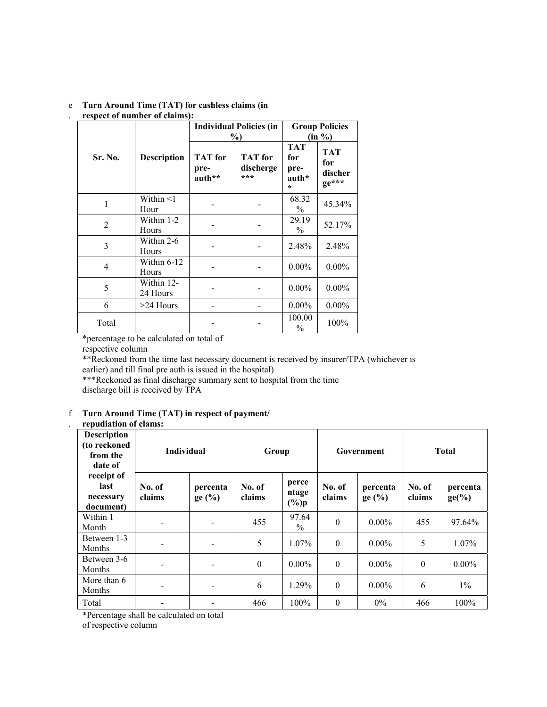#### e . **Turn Around Time (TAT) for cashless claims (in respect of number of claims):**

|         |                         |                                  | <b>Individual Policies (in</b><br>$\%$ | <b>Group Policies</b><br>$(in \%)$            |                                       |  |
|---------|-------------------------|----------------------------------|----------------------------------------|-----------------------------------------------|---------------------------------------|--|
| Sr. No. | <b>Description</b>      | <b>TAT</b> for<br>pre-<br>auth** | <b>TAT</b> for<br>discherge<br>***     | <b>TAT</b><br>for<br>pre-<br>auth*<br>$\star$ | <b>TAT</b><br>for<br>discher<br>ge*** |  |
| 1       | Within $\leq 1$<br>Hour |                                  |                                        | 68.32<br>$\frac{0}{0}$                        | 45.34%                                |  |
| 2       | Within 1-2<br>Hours     |                                  |                                        | 29.19<br>$\frac{0}{0}$                        | 52.17%                                |  |
| 3       | Within 2-6<br>Hours     |                                  |                                        | 2.48%                                         | 2.48%                                 |  |
| 4       | Within 6-12<br>Hours    |                                  |                                        | $0.00\%$                                      | $0.00\%$                              |  |
| 5       | Within 12-<br>24 Hours  |                                  |                                        | $0.00\%$                                      | $0.00\%$                              |  |
| 6       | $>24$ Hours             |                                  |                                        | $0.00\%$                                      | $0.00\%$                              |  |
| Total   |                         |                                  |                                        | 100.00<br>$\frac{0}{0}$                       | 100%                                  |  |

\*percentage to be calculated on total of

respective column

\*\*Reckoned from the time last necessary document is received by insurer/TPA (whichever is earlier) and till final pre auth is issued in the hospital)

\*\*\*Reckoned as final discharge summary sent to hospital from the time discharge bill is received by TPA

### f **Turn Around Time (TAT) in respect of payment/**

# . **repudiation of clams:**

| <b>Description</b><br>(to reckoned<br>from the<br>date of | <b>Individual</b> |                          | Group            |                           | Government       |                      | <b>Total</b>     |                             |
|-----------------------------------------------------------|-------------------|--------------------------|------------------|---------------------------|------------------|----------------------|------------------|-----------------------------|
| receipt of<br>last<br>necessary<br>document)              | No. of<br>claims  | percenta<br>$ge($ % $)$  | No. of<br>claims | perce<br>ntage<br>$(\%)p$ | No. of<br>claims | percenta<br>$ge($ %) | No. of<br>claims | percenta<br>$ge(^{9}/_{0})$ |
| Within 1<br>Month                                         | -                 | $\overline{\phantom{a}}$ | 455              | 97.64<br>$\frac{0}{0}$    | $\theta$         | $0.00\%$             | 455              | 97.64%                      |
| Between 1-3<br>Months                                     |                   |                          | 5                | $1.07\%$                  | $\theta$         | $0.00\%$             | 5                | 1.07%                       |
| Between 3-6<br>Months                                     |                   |                          | $\theta$         | $0.00\%$                  | $\theta$         | $0.00\%$             | $\theta$         | $0.00\%$                    |
| More than 6<br>Months                                     |                   | $\overline{\phantom{a}}$ | 6                | 1.29%                     | $\theta$         | $0.00\%$             | 6                | $1\%$                       |
| Total                                                     | -                 |                          | 466              | 100%                      | $\theta$         | $0\%$                | 466              | 100%                        |

\*Percentage shall be calculated on total

of respective column